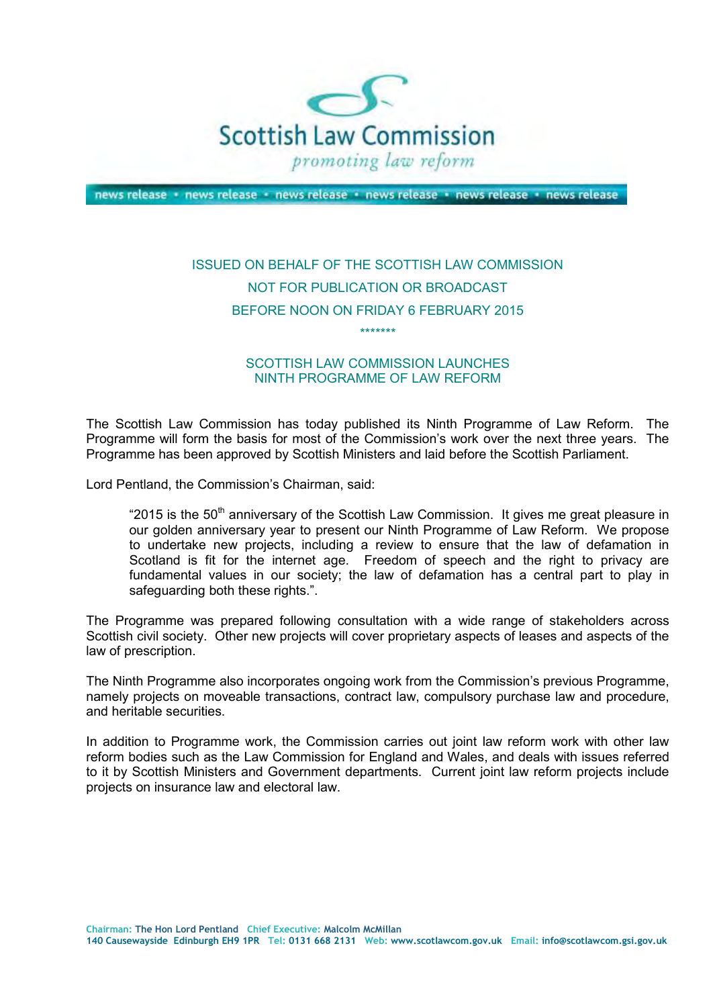

news release · news release · news release · news release · news release · news release

## ISSUED ON BEHALF OF THE SCOTTISH LAW COMMISSION NOT FOR PUBLICATION OR BROADCAST BEFORE NOON ON FRIDAY 6 FEBRUARY 2015

\*\*\*\*\*\*\*

## SCOTTISH LAW COMMISSION LAUNCHES NINTH PROGRAMME OF LAW REFORM

 The Scottish Law Commission has today published its Ninth Programme of Law Reform. The Programme will form the basis for most of the Commission's work over the next three years. The Programme has been approved by Scottish Ministers and laid before the Scottish Parliament.

Lord Pentland, the Commission's Chairman, said:

"2015 is the 50<sup>th</sup> anniversary of the Scottish Law Commission. It gives me great pleasure in our golden anniversary year to present our Ninth Programme of Law Reform. We propose to undertake new projects, including a review to ensure that the law of defamation in Scotland is fit for the internet age. Freedom of speech and the right to privacy are fundamental values in our society; the law of defamation has a central part to play in safeguarding both these rights.".

 The Programme was prepared following consultation with a wide range of stakeholders across Scottish civil society. Other new projects will cover proprietary aspects of leases and aspects of the law of prescription.

 The Ninth Programme also incorporates ongoing work from the Commission's previous Programme, namely projects on moveable transactions, contract law, compulsory purchase law and procedure, and heritable securities.

 In addition to Programme work, the Commission carries out joint law reform work with other law reform bodies such as the Law Commission for England and Wales, and deals with issues referred to it by Scottish Ministers and Government departments. Current joint law reform projects include projects on insurance law and electoral law.